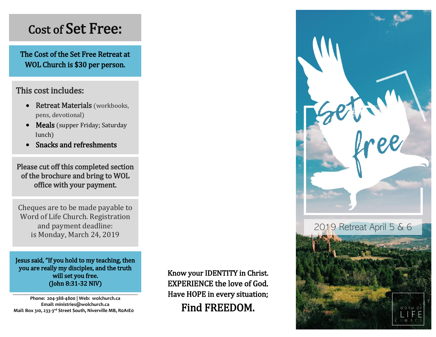# Cost of Set Free:

The Cost of the Set Free Retreat at WOL Church is \$30 per person.

## This cost includes:

- Retreat Materials (workbooks, pens, devotional)
- Meals (supper Friday; Saturday lunch)
- Snacks and refreshments

Please cut off this completed section of the brochure and bring to WOL office with your payment.

Cheques are to be made payable to Word of Life Church. Registration and payment deadline: is Monday, March 24, 2019

.

Jesus said, "If you hold to my teaching, then you are really my disciples, and the truth will set you free. (John 8:31-32 NIV)

**Phone: 204-388-4800 | Web: wolchurch.ca Email: ministries@wolchurch.ca Mail: Box 310, 233-3 rd Street South, Niverville MB, R0A1E0** Know your IDENTITY in Christ. EXPERIENCE the love of God. Have HOPE in every situation; Find FREEDOM.